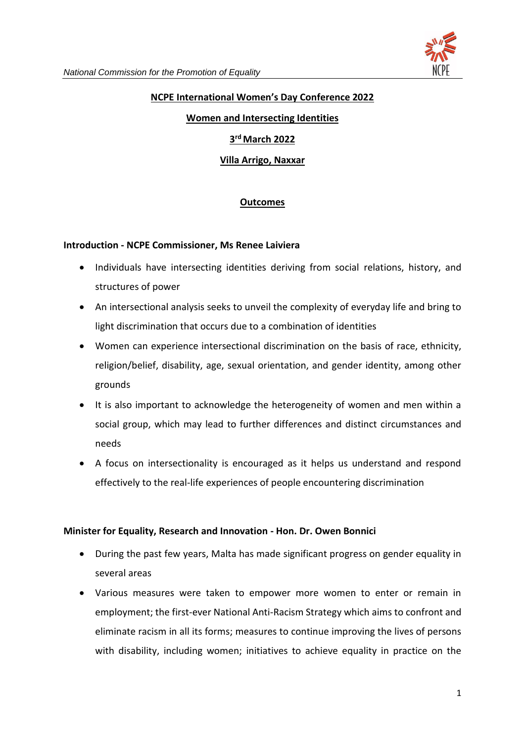

## **NCPE International Women's Day Conference 2022**

#### **Women and Intersecting Identities**

### **3 rd March 2022**

**Villa Arrigo, Naxxar**

## **Outcomes**

#### **Introduction - NCPE Commissioner, Ms Renee Laiviera**

- Individuals have intersecting identities deriving from social relations, history, and structures of power
- An intersectional analysis seeks to unveil the complexity of everyday life and bring to light discrimination that occurs due to a combination of identities
- Women can experience intersectional discrimination on the basis of race, ethnicity, religion/belief, disability, age, sexual orientation, and gender identity, among other grounds
- It is also important to acknowledge the heterogeneity of women and men within a social group, which may lead to further differences and distinct circumstances and needs
- A focus on intersectionality is encouraged as it helps us understand and respond effectively to the real-life experiences of people encountering discrimination

## **Minister for Equality, Research and Innovation - Hon. Dr. Owen Bonnici**

- During the past few years, Malta has made significant progress on gender equality in several areas
- Various measures were taken to empower more women to enter or remain in employment; the first-ever National Anti-Racism Strategy which aims to confront and eliminate racism in all its forms; measures to continue improving the lives of persons with disability, including women; initiatives to achieve equality in practice on the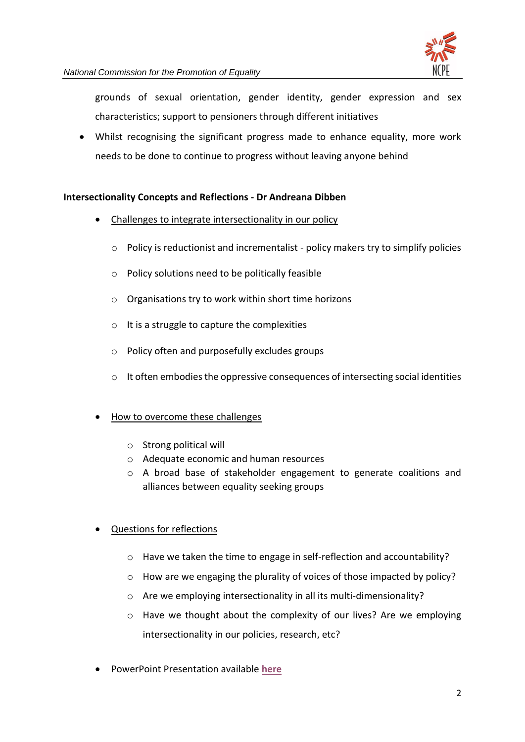

grounds of sexual orientation, gender identity, gender expression and sex characteristics; support to pensioners through different initiatives

• Whilst recognising the significant progress made to enhance equality, more work needs to be done to continue to progress without leaving anyone behind

## **Intersectionality Concepts and Reflections - Dr Andreana Dibben**

- Challenges to integrate intersectionality in our policy
	- o Policy is reductionist and incrementalist policy makers try to simplify policies
	- o Policy solutions need to be politically feasible
	- o Organisations try to work within short time horizons
	- o It is a struggle to capture the complexities
	- o Policy often and purposefully excludes groups
	- o It often embodies the oppressive consequences of intersecting social identities
- How to overcome these challenges
	- o Strong political will
	- o Adequate economic and human resources
	- o A broad base of stakeholder engagement to generate coalitions and alliances between equality seeking groups
- Questions for reflections
	- o Have we taken the time to engage in self-reflection and accountability?
	- o How are we engaging the plurality of voices of those impacted by policy?
	- o Are we employing intersectionality in all its multi-dimensionality?
	- $\circ$  Have we thought about the complexity of our lives? Are we employing intersectionality in our policies, research, etc?
- PowerPoint Presentation available **[here](https://ncpe.gov.mt/en/Pages/Upcoming-events-and-Developments.aspx)**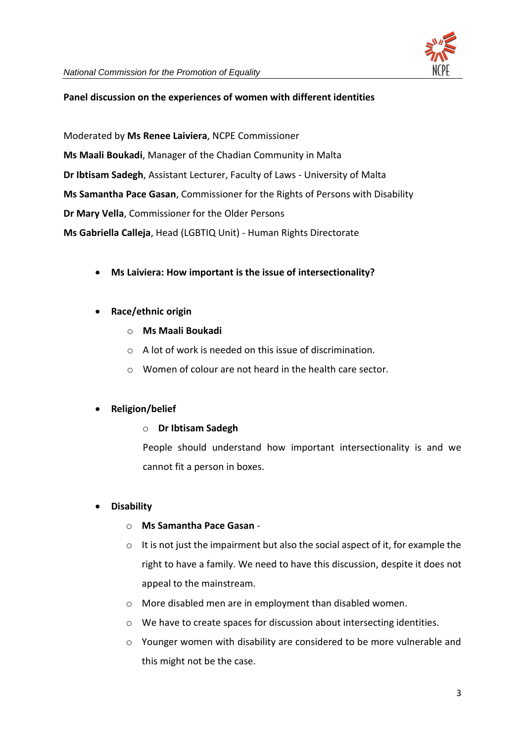

#### **Panel discussion on the experiences of women with different identities**

Moderated by **Ms Renee Laiviera**, NCPE Commissioner **Ms Maali Boukadi**, Manager of the Chadian Community in Malta **Dr Ibtisam Sadegh**, Assistant Lecturer, Faculty of Laws - University of Malta **Ms Samantha Pace Gasan**, Commissioner for the Rights of Persons with Disability **Dr Mary Vella**, Commissioner for the Older Persons **Ms Gabriella Calleja**, Head (LGBTIQ Unit) - Human Rights Directorate

• **Ms Laiviera: How important is the issue of intersectionality?**

## • **Race/ethnic origin**

- o **Ms Maali Boukadi**
- o A lot of work is needed on this issue of discrimination.
- o Women of colour are not heard in the health care sector.

## • **Religion/belief**

## o **Dr Ibtisam Sadegh**

People should understand how important intersectionality is and we cannot fit a person in boxes.

## • **Disability**

#### o **Ms Samantha Pace Gasan** -

- $\circ$  It is not just the impairment but also the social aspect of it, for example the right to have a family. We need to have this discussion, despite it does not appeal to the mainstream.
- o More disabled men are in employment than disabled women.
- o We have to create spaces for discussion about intersecting identities.
- $\circ$  Younger women with disability are considered to be more vulnerable and this might not be the case.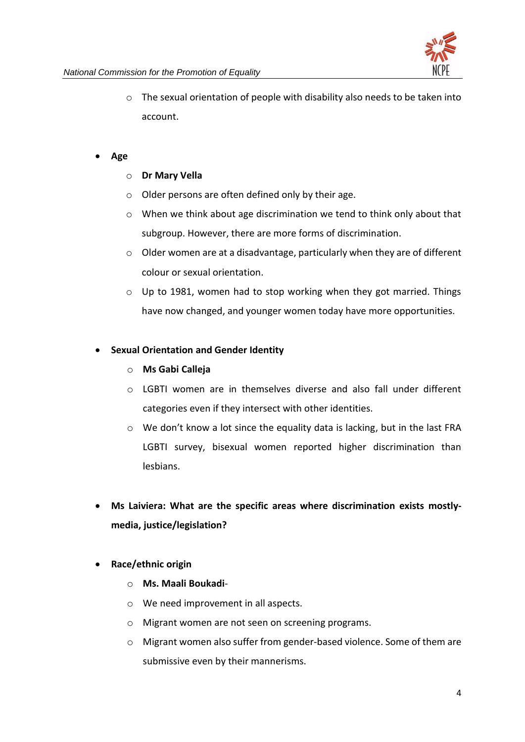

o The sexual orientation of people with disability also needs to be taken into account.

#### • **Age**

- o **Dr Mary Vella**
- $\circ$  Older persons are often defined only by their age.
- $\circ$  When we think about age discrimination we tend to think only about that subgroup. However, there are more forms of discrimination.
- o Older women are at a disadvantage, particularly when they are of different colour or sexual orientation.
- $\circ$  Up to 1981, women had to stop working when they got married. Things have now changed, and younger women today have more opportunities.

## • **Sexual Orientation and Gender Identity**

- o **Ms Gabi Calleja**
- o LGBTI women are in themselves diverse and also fall under different categories even if they intersect with other identities.
- $\circ$  We don't know a lot since the equality data is lacking, but in the last FRA LGBTI survey, bisexual women reported higher discrimination than lesbians.
- **Ms Laiviera: What are the specific areas where discrimination exists mostlymedia, justice/legislation?**
- **Race/ethnic origin**
	- o **Ms. Maali Boukadi**-
	- o We need improvement in all aspects.
	- o Migrant women are not seen on screening programs.
	- $\circ$  Migrant women also suffer from gender-based violence. Some of them are submissive even by their mannerisms.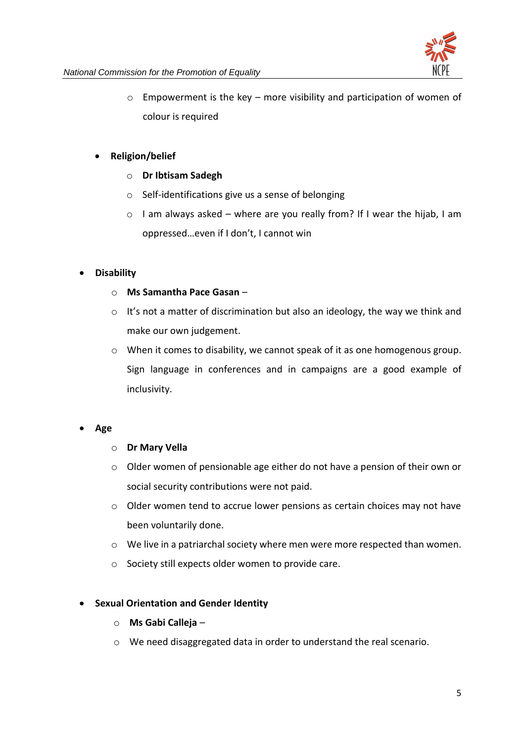

 $\circ$  Empowerment is the key – more visibility and participation of women of colour is required

## • **Religion/belief**

- o **Dr Ibtisam Sadegh**
- o Self-identifications give us a sense of belonging
- $\circ$  I am always asked where are you really from? If I wear the hijab, I am oppressed…even if I don't, I cannot win

## • **Disability**

- o **Ms Samantha Pace Gasan** –
- $\circ$  It's not a matter of discrimination but also an ideology, the way we think and make our own judgement.
- o When it comes to disability, we cannot speak of it as one homogenous group. Sign language in conferences and in campaigns are a good example of inclusivity.
- **Age**

## o **Dr Mary Vella**

- o Older women of pensionable age either do not have a pension of their own or social security contributions were not paid.
- o Older women tend to accrue lower pensions as certain choices may not have been voluntarily done.
- o We live in a patriarchal society where men were more respected than women.
- o Society still expects older women to provide care.

## • **Sexual Orientation and Gender Identity**

- o **Ms Gabi Calleja** –
- o We need disaggregated data in order to understand the real scenario.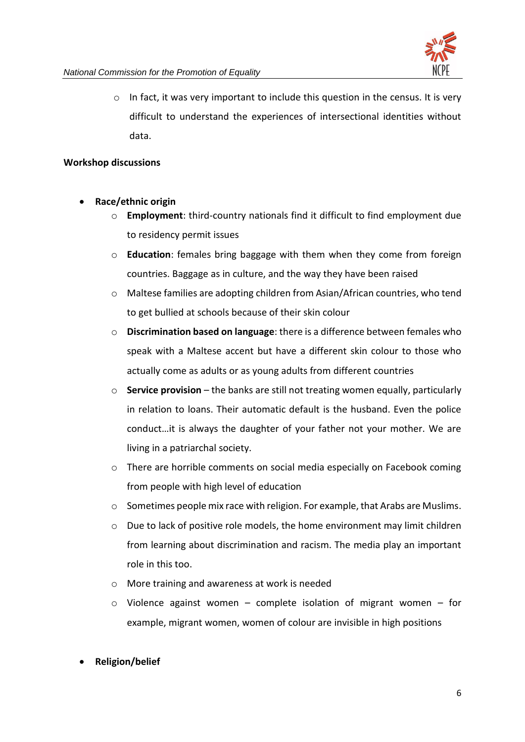

 $\circ$  In fact, it was very important to include this question in the census. It is very difficult to understand the experiences of intersectional identities without data.

## **Workshop discussions**

- **Race/ethnic origin**
	- o **Employment**: third-country nationals find it difficult to find employment due to residency permit issues
	- o **Education**: females bring baggage with them when they come from foreign countries. Baggage as in culture, and the way they have been raised
	- o Maltese families are adopting children from Asian/African countries, who tend to get bullied at schools because of their skin colour
	- o **Discrimination based on language**: there is a difference between females who speak with a Maltese accent but have a different skin colour to those who actually come as adults or as young adults from different countries
	- o **Service provision** the banks are still not treating women equally, particularly in relation to loans. Their automatic default is the husband. Even the police conduct…it is always the daughter of your father not your mother. We are living in a patriarchal society.
	- $\circ$  There are horrible comments on social media especially on Facebook coming from people with high level of education
	- o Sometimes people mix race with religion. For example, that Arabs are Muslims.
	- $\circ$  Due to lack of positive role models, the home environment may limit children from learning about discrimination and racism. The media play an important role in this too.
	- o More training and awareness at work is needed
	- $\circ$  Violence against women complete isolation of migrant women for example, migrant women, women of colour are invisible in high positions
- **Religion/belief**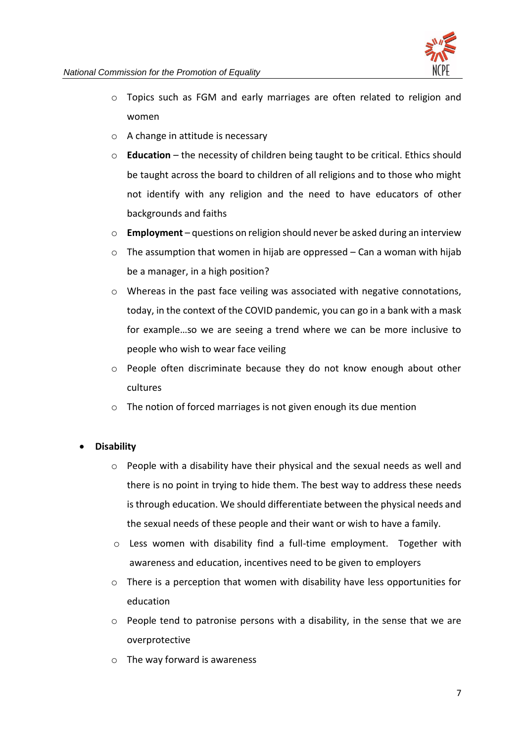

- o Topics such as FGM and early marriages are often related to religion and women
- o A change in attitude is necessary
- o **Education** the necessity of children being taught to be critical. Ethics should be taught across the board to children of all religions and to those who might not identify with any religion and the need to have educators of other backgrounds and faiths
- o **Employment** questions on religion should never be asked during an interview
- $\circ$  The assumption that women in hijab are oppressed Can a woman with hijab be a manager, in a high position?
- $\circ$  Whereas in the past face veiling was associated with negative connotations, today, in the context of the COVID pandemic, you can go in a bank with a mask for example…so we are seeing a trend where we can be more inclusive to people who wish to wear face veiling
- $\circ$  People often discriminate because they do not know enough about other cultures
- o The notion of forced marriages is not given enough its due mention

## • **Disability**

- $\circ$  People with a disability have their physical and the sexual needs as well and there is no point in trying to hide them. The best way to address these needs is through education. We should differentiate between the physical needs and the sexual needs of these people and their want or wish to have a family.
- $\circ$  Less women with disability find a full-time employment. Together with awareness and education, incentives need to be given to employers
- $\circ$  There is a perception that women with disability have less opportunities for education
- o People tend to patronise persons with a disability, in the sense that we are overprotective
- o The way forward is awareness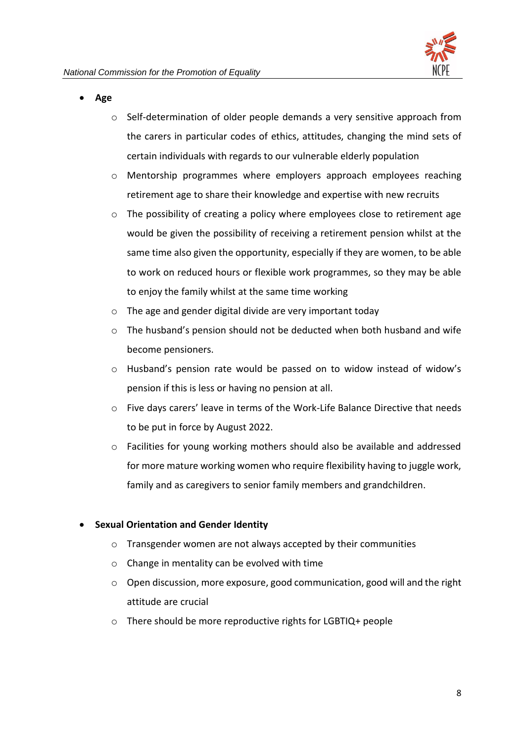- **Age** 
	- o Self-determination of older people demands a very sensitive approach from the carers in particular codes of ethics, attitudes, changing the mind sets of certain individuals with regards to our vulnerable elderly population
	- o Mentorship programmes where employers approach employees reaching retirement age to share their knowledge and expertise with new recruits
	- $\circ$  The possibility of creating a policy where employees close to retirement age would be given the possibility of receiving a retirement pension whilst at the same time also given the opportunity, especially if they are women, to be able to work on reduced hours or flexible work programmes, so they may be able to enjoy the family whilst at the same time working
	- o The age and gender digital divide are very important today
	- $\circ$  The husband's pension should not be deducted when both husband and wife become pensioners.
	- o Husband's pension rate would be passed on to widow instead of widow's pension if this is less or having no pension at all.
	- o Five days carers' leave in terms of the Work-Life Balance Directive that needs to be put in force by August 2022.
	- $\circ$  Facilities for young working mothers should also be available and addressed for more mature working women who require flexibility having to juggle work, family and as caregivers to senior family members and grandchildren.

## • **Sexual Orientation and Gender Identity**

- o Transgender women are not always accepted by their communities
- o Change in mentality can be evolved with time
- o Open discussion, more exposure, good communication, good will and the right attitude are crucial
- o There should be more reproductive rights for LGBTIQ+ people